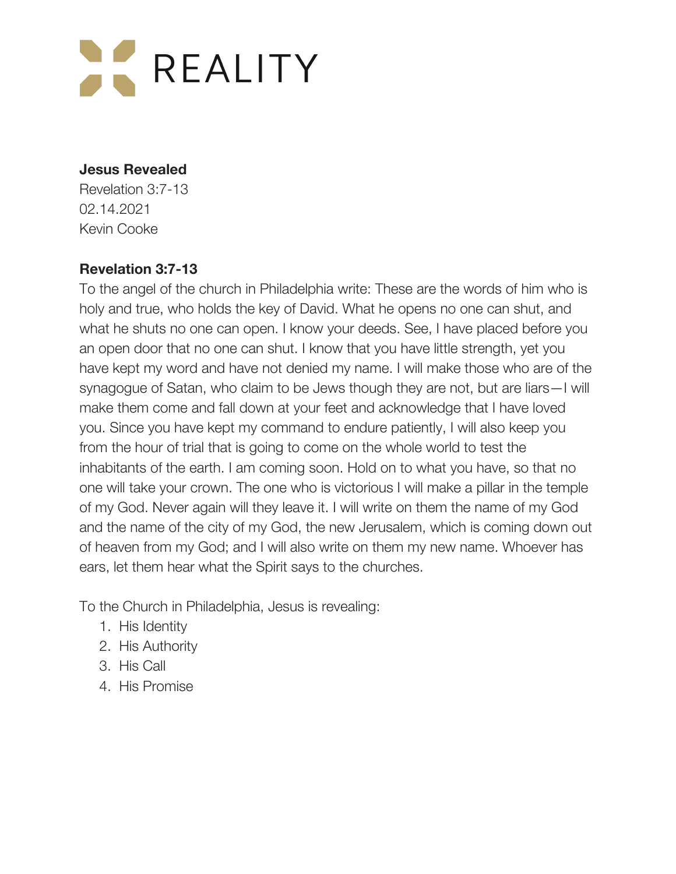

#### **Jesus Revealed**

Revelation 3:7-13 02.14.2021 Kevin Cooke

### **Revelation 3:7-13**

To the angel of the church in Philadelphia write: These are the words of him who is holy and true, who holds the key of David. What he opens no one can shut, and what he shuts no one can open. I know your deeds. See, I have placed before you an open door that no one can shut. I know that you have little strength, yet you have kept my word and have not denied my name. I will make those who are of the synagogue of Satan, who claim to be Jews though they are not, but are liars—I will make them come and fall down at your feet and acknowledge that I have loved you. Since you have kept my command to endure patiently, I will also keep you from the hour of trial that is going to come on the whole world to test the inhabitants of the earth. I am coming soon. Hold on to what you have, so that no one will take your crown. The one who is victorious I will make a pillar in the temple of my God. Never again will they leave it. I will write on them the name of my God and the name of the city of my God, the new Jerusalem, which is coming down out of heaven from my God; and I will also write on them my new name. Whoever has ears, let them hear what the Spirit says to the churches.

To the Church in Philadelphia, Jesus is revealing:

- 1. His Identity
- 2. His Authority
- 3. His Call
- 4. His Promise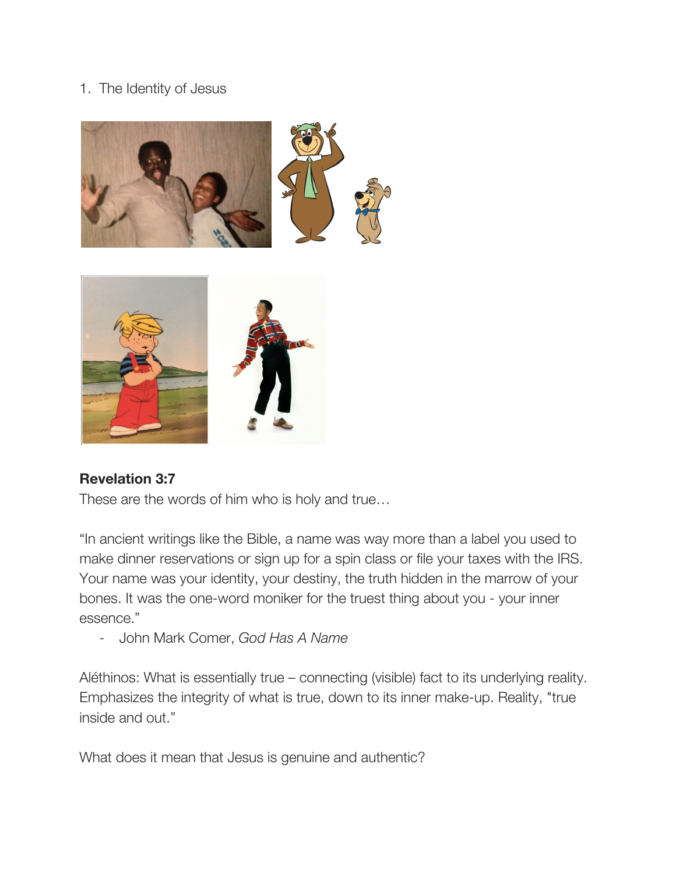## 1. The Identity of Jesus





### **Revelation 3:7**

These are the words of him who is holy and true…

"In ancient writings like the Bible, a name was way more than a label you used to make dinner reservations or sign up for a spin class or file your taxes with the IRS. Your name was your identity, your destiny, the truth hidden in the marrow of your bones. It was the one-word moniker for the truest thing about you - your inner essence."

- John Mark Comer, *God Has A Name*

Aléthinos: What is essentially true – connecting (visible) fact to its underlying reality. Emphasizes the integrity of what is true, down to its inner make-up. Reality, "true inside and out."

What does it mean that Jesus is genuine and authentic?